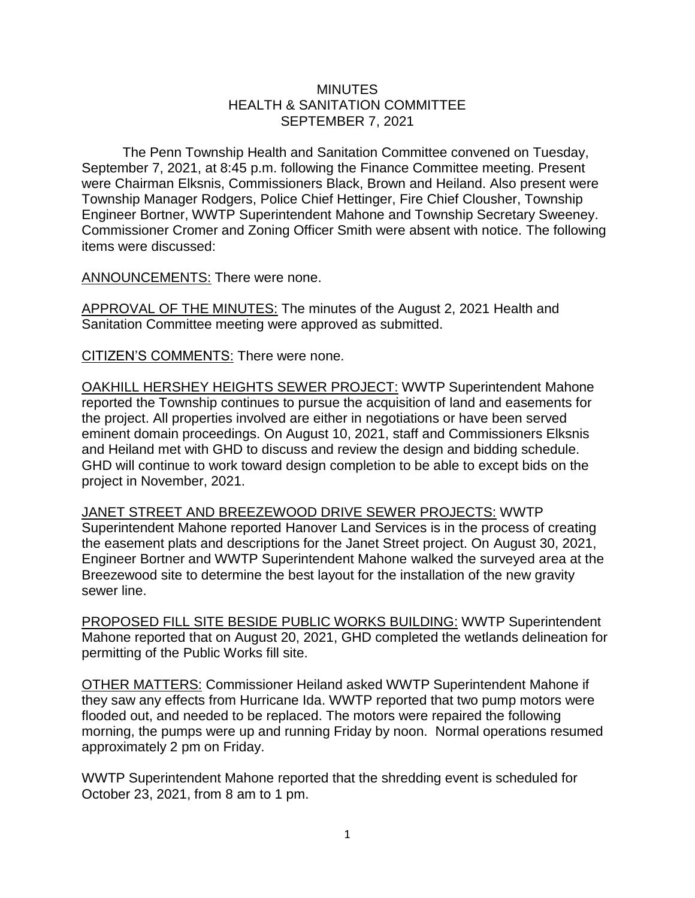## **MINUTES** HEALTH & SANITATION COMMITTEE SEPTEMBER 7, 2021

The Penn Township Health and Sanitation Committee convened on Tuesday, September 7, 2021, at 8:45 p.m. following the Finance Committee meeting. Present were Chairman Elksnis, Commissioners Black, Brown and Heiland. Also present were Township Manager Rodgers, Police Chief Hettinger, Fire Chief Clousher, Township Engineer Bortner, WWTP Superintendent Mahone and Township Secretary Sweeney. Commissioner Cromer and Zoning Officer Smith were absent with notice. The following items were discussed:

ANNOUNCEMENTS: There were none.

APPROVAL OF THE MINUTES: The minutes of the August 2, 2021 Health and Sanitation Committee meeting were approved as submitted.

CITIZEN'S COMMENTS: There were none.

OAKHILL HERSHEY HEIGHTS SEWER PROJECT: WWTP Superintendent Mahone reported the Township continues to pursue the acquisition of land and easements for the project. All properties involved are either in negotiations or have been served eminent domain proceedings. On August 10, 2021, staff and Commissioners Elksnis and Heiland met with GHD to discuss and review the design and bidding schedule. GHD will continue to work toward design completion to be able to except bids on the project in November, 2021.

JANET STREET AND BREEZEWOOD DRIVE SEWER PROJECTS: WWTP Superintendent Mahone reported Hanover Land Services is in the process of creating the easement plats and descriptions for the Janet Street project. On August 30, 2021, Engineer Bortner and WWTP Superintendent Mahone walked the surveyed area at the Breezewood site to determine the best layout for the installation of the new gravity sewer line.

PROPOSED FILL SITE BESIDE PUBLIC WORKS BUILDING: WWTP Superintendent Mahone reported that on August 20, 2021, GHD completed the wetlands delineation for permitting of the Public Works fill site.

OTHER MATTERS: Commissioner Heiland asked WWTP Superintendent Mahone if they saw any effects from Hurricane Ida. WWTP reported that two pump motors were flooded out, and needed to be replaced. The motors were repaired the following morning, the pumps were up and running Friday by noon. Normal operations resumed approximately 2 pm on Friday.

WWTP Superintendent Mahone reported that the shredding event is scheduled for October 23, 2021, from 8 am to 1 pm.